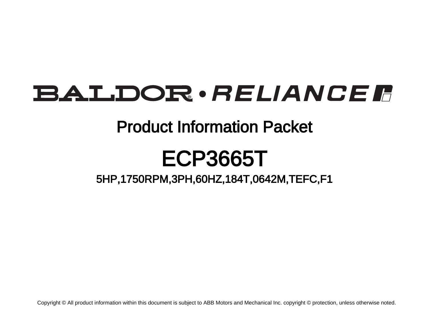# **BALDOR** · RELIANCE F

### Product Information Packet

## ECP3665T

5HP,1750RPM,3PH,60HZ,184T,0642M,TEFC,F1

Copyright © All product information within this document is subject to ABB Motors and Mechanical Inc. copyright © protection, unless otherwise noted.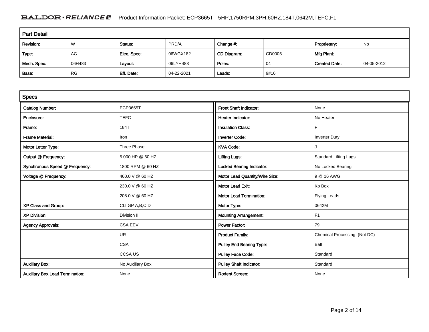### BALDOR · RELIANCE F Product Information Packet: ECP3665T - 5HP,1750RPM,3PH,60HZ,184T,0642M,TEFC,F1

| <b>Part Detail</b> |           |             |            |             |        |                      |            |
|--------------------|-----------|-------------|------------|-------------|--------|----------------------|------------|
| Revision:          | W         | Status:     | PRD/A      | Change #:   |        | Proprietary:         | <b>No</b>  |
| Type:              | AC        | Elec. Spec: | 06WGX182   | CD Diagram: | CD0005 | Mfg Plant:           |            |
| Mech. Spec:        | 06H483    | Layout:     | 06LYH483   | Poles:      | 04     | <b>Created Date:</b> | 04-05-2012 |
| Base:              | <b>RG</b> | Eff. Date:  | 04-22-2021 | Leads:      | 9#16   |                      |            |

| <b>Specs</b>                           |                   |                                  |                              |
|----------------------------------------|-------------------|----------------------------------|------------------------------|
| <b>Catalog Number:</b>                 | <b>ECP3665T</b>   | Front Shaft Indicator:           | None                         |
| Enclosure:                             | <b>TEFC</b>       | Heater Indicator:                | No Heater                    |
| Frame:                                 | 184T              | <b>Insulation Class:</b>         | F                            |
| <b>Frame Material:</b>                 | Iron              | <b>Inverter Code:</b>            | <b>Inverter Duty</b>         |
| Motor Letter Type:                     | Three Phase       | <b>KVA Code:</b>                 |                              |
| Output @ Frequency:                    | 5.000 HP @ 60 HZ  | <b>Lifting Lugs:</b>             | <b>Standard Lifting Lugs</b> |
| Synchronous Speed @ Frequency:         | 1800 RPM @ 60 HZ  | <b>Locked Bearing Indicator:</b> | No Locked Bearing            |
| Voltage @ Frequency:                   | 460.0 V @ 60 HZ   | Motor Lead Quantity/Wire Size:   | 9 @ 16 AWG                   |
|                                        | 230.0 V @ 60 HZ   | <b>Motor Lead Exit:</b>          | Ko Box                       |
|                                        | 208.0 V @ 60 HZ   | <b>Motor Lead Termination:</b>   | <b>Flying Leads</b>          |
| XP Class and Group:                    | CLI GP A, B, C, D | Motor Type:                      | 0642M                        |
| <b>XP Division:</b>                    | Division II       | <b>Mounting Arrangement:</b>     | F <sub>1</sub>               |
| <b>Agency Approvals:</b>               | <b>CSA EEV</b>    | Power Factor:                    | 79                           |
|                                        | <b>UR</b>         | <b>Product Family:</b>           | Chemical Processing (Not DC) |
|                                        | <b>CSA</b>        | <b>Pulley End Bearing Type:</b>  | Ball                         |
|                                        | <b>CCSAUS</b>     | <b>Pulley Face Code:</b>         | Standard                     |
| <b>Auxillary Box:</b>                  | No Auxillary Box  | <b>Pulley Shaft Indicator:</b>   | Standard                     |
| <b>Auxillary Box Lead Termination:</b> | None              | <b>Rodent Screen:</b>            | None                         |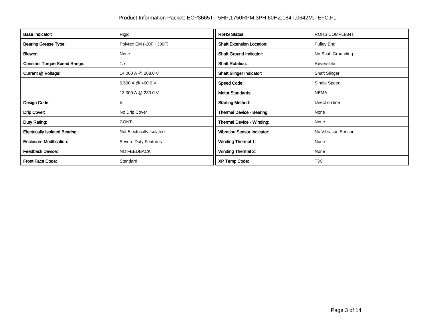| <b>Base Indicator:</b>                | Rigid                     | <b>RoHS Status:</b>                | <b>ROHS COMPLIANT</b> |
|---------------------------------------|---------------------------|------------------------------------|-----------------------|
| <b>Bearing Grease Type:</b>           | Polyrex EM (-20F +300F)   | <b>Shaft Extension Location:</b>   | Pulley End            |
| Blower:                               | None                      | <b>Shaft Ground Indicator:</b>     | No Shaft Grounding    |
| <b>Constant Torque Speed Range:</b>   | 1.7                       | <b>Shaft Rotation:</b>             | Reversible            |
| <b>Current @ Voltage:</b>             | 14.000 A @ 208.0 V        | <b>Shaft Slinger Indicator:</b>    | <b>Shaft Slinger</b>  |
|                                       | 6.500 A @ 460.0 V         | <b>Speed Code:</b>                 | Single Speed          |
|                                       | 13.000 A @ 230.0 V        | <b>Motor Standards:</b>            | <b>NEMA</b>           |
| Design Code:                          | B                         | <b>Starting Method:</b>            | Direct on line        |
| Drip Cover:                           | No Drip Cover             | Thermal Device - Bearing:          | None                  |
| Duty Rating:                          | <b>CONT</b>               | <b>Thermal Device - Winding:</b>   | None                  |
| <b>Electrically Isolated Bearing:</b> | Not Electrically Isolated | <b>Vibration Sensor Indicator:</b> | No Vibration Sensor   |
| <b>Enclosure Modification:</b>        | Severe Duty Features      | <b>Winding Thermal 1:</b>          | None                  |
| <b>Feedback Device:</b>               | NO FEEDBACK               | <b>Winding Thermal 2:</b>          | None                  |
| Front Face Code:                      | Standard                  | <b>XP Temp Code:</b>               | T <sub>3</sub> C      |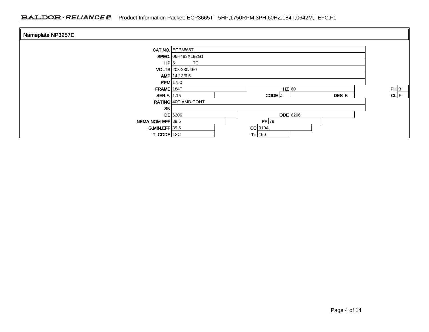| Nameplate NP3257E  |                     |                              |          |
|--------------------|---------------------|------------------------------|----------|
|                    | CAT.NO. ECP3665T    |                              |          |
|                    | SPEC. 06H483X182G1  |                              |          |
| HP 5               | <b>TE</b>           |                              |          |
|                    | VOLTS 208-230/460   |                              |          |
|                    | $AMP   14-13/6.5$   |                              |          |
| <b>RPM</b> 1750    |                     |                              |          |
| $FRAME$ 184T       |                     | $HZ$ 60                      | PH 3     |
| <b>SER.F.</b> 1.15 |                     | $DES$ <sub>B</sub><br>CODE J | $CL$ $F$ |
|                    | RATING 40C AMB-CONT |                              |          |
| <b>SN</b>          |                     |                              |          |
|                    | $DE$ 6206           | <b>ODE</b> 6206              |          |
| NEMA-NOM-EFF 89.5  |                     | $PF$ 79                      |          |
| $GMIN.EFF$ 89.5    |                     | $CC$ 010A                    |          |
| T. CODE T3C        |                     | $T = 160$                    |          |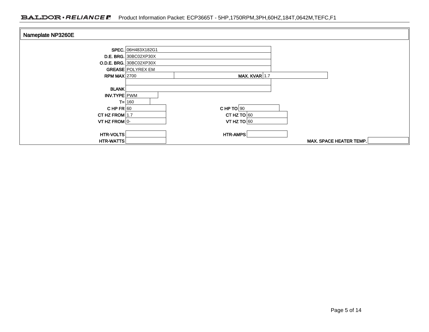| Nameplate NP3260E |                                |               |                         |
|-------------------|--------------------------------|---------------|-------------------------|
|                   |                                |               |                         |
|                   | SPEC. 06H483X182G1             |               |                         |
|                   | <b>D.E. BRG.</b> 30BC02XP30X   |               |                         |
|                   | <b>O.D.E. BRG.</b> 30BC02XP30X |               |                         |
|                   | <b>GREASE POLYREX EM</b>       |               |                         |
| RPM MAX $2700$    |                                | MAX. KVAR 1.7 |                         |
|                   |                                |               |                         |
| <b>BLANK</b>      |                                |               |                         |
| INV.TYPE PWM      |                                |               |                         |
|                   | $T = 160$                      |               |                         |
| CHPFR 60          |                                | CHP TO $90$   |                         |
| CT HZ FROM $1.7$  |                                | CT HZ TO $60$ |                         |
| VT HZ FROM $ 0-$  |                                | VT HZ TO $60$ |                         |
|                   |                                |               |                         |
| HTR-VOLTS         |                                | HTR-AMPS      |                         |
| HTR-WATTS         |                                |               | MAX. SPACE HEATER TEMP. |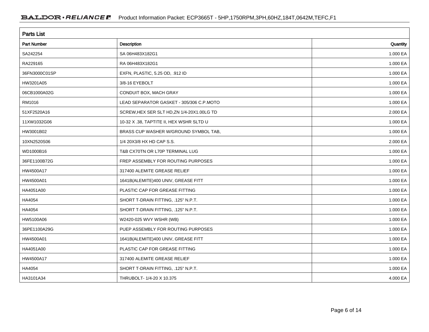| <b>Parts List</b>  |                                            |          |  |  |  |
|--------------------|--------------------------------------------|----------|--|--|--|
| <b>Part Number</b> | Description                                | Quantity |  |  |  |
| SA242254           | SA 06H483X182G1                            | 1.000 EA |  |  |  |
| RA229165           | RA 06H483X182G1                            | 1.000 EA |  |  |  |
| 36FN3000C01SP      | EXFN, PLASTIC, 5.25 OD, .912 ID            | 1.000 EA |  |  |  |
| HW3201A05          | 3/8-16 EYEBOLT                             | 1.000 EA |  |  |  |
| 06CB1000A02G       | CONDUIT BOX, MACH GRAY                     | 1.000 EA |  |  |  |
| RM1016             | LEAD SEPARATOR GASKET - 305/306 C.P.MOTO   | 1.000 EA |  |  |  |
| 51XF2520A16        | SCREW, HEX SER SLT HD, ZN 1/4-20X1.00LG TD | 2.000 EA |  |  |  |
| 11XW1032G06        | 10-32 X .38, TAPTITE II, HEX WSHR SLTD U   | 1.000 EA |  |  |  |
| HW3001B02          | BRASS CUP WASHER W/GROUND SYMBOL TAB.      | 1.000 EA |  |  |  |
| 10XN2520S06        | 1/4 20X3/8 HX HD CAP S.S.                  | 2.000 EA |  |  |  |
| WD1000B16          | T&B CX70TN OR L70P TERMINAL LUG            | 1.000 EA |  |  |  |
| 36FE1100B72G       | FREP ASSEMBLY FOR ROUTING PURPOSES         | 1.000 EA |  |  |  |
| HW4500A17          | 317400 ALEMITE GREASE RELIEF               | 1.000 EA |  |  |  |
| HW4500A01          | 1641B(ALEMITE)400 UNIV, GREASE FITT        | 1.000 EA |  |  |  |
| HA4051A00          | PLASTIC CAP FOR GREASE FITTING             | 1.000 EA |  |  |  |
| HA4054             | SHORT T-DRAIN FITTING, .125" N.P.T.        | 1.000 EA |  |  |  |
| HA4054             | SHORT T-DRAIN FITTING, .125" N.P.T.        | 1.000 EA |  |  |  |
| HW5100A06          | W2420-025 WVY WSHR (WB)                    | 1.000 EA |  |  |  |
| 36PE1100A29G       | PUEP ASSEMBLY FOR ROUTING PURPOSES         | 1.000 EA |  |  |  |
| HW4500A01          | 1641B(ALEMITE)400 UNIV, GREASE FITT        | 1.000 EA |  |  |  |
| HA4051A00          | PLASTIC CAP FOR GREASE FITTING             | 1.000 EA |  |  |  |
| HW4500A17          | 317400 ALEMITE GREASE RELIEF               | 1.000 EA |  |  |  |
| HA4054             | SHORT T-DRAIN FITTING, .125" N.P.T.        | 1.000 EA |  |  |  |
| HA3101A34          | THRUBOLT- 1/4-20 X 10.375                  | 4.000 EA |  |  |  |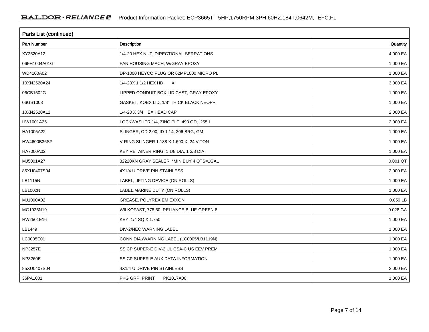| Parts List (continued) |                                          |          |  |  |  |
|------------------------|------------------------------------------|----------|--|--|--|
| <b>Part Number</b>     | Description                              | Quantity |  |  |  |
| XY2520A12              | 1/4-20 HEX NUT, DIRECTIONAL SERRATIONS   | 4.000 EA |  |  |  |
| 06FH1004A01G           | FAN HOUSING MACH, W/GRAY EPOXY           | 1.000 EA |  |  |  |
| WD4100A02              | DP-1000 HEYCO PLUG OR 62MP1000 MICRO PL  | 1.000 EA |  |  |  |
| 10XN2520A24            | 1/4-20X 1 1/2 HEX HD X                   | 3.000 EA |  |  |  |
| 06CB1502G              | LIPPED CONDUIT BOX LID CAST, GRAY EPOXY  | 1.000 EA |  |  |  |
| 06GS1003               | GASKET, KOBX LID, 1/8" THICK BLACK NEOPR | 1.000 EA |  |  |  |
| 10XN2520A12            | 1/4-20 X 3/4 HEX HEAD CAP                | 2.000 EA |  |  |  |
| HW1001A25              | LOCKWASHER 1/4, ZINC PLT .493 OD, .255 I | 2.000 EA |  |  |  |
| HA1005A22              | SLINGER, OD 2.00, ID 1.14, 206 BRG, GM   | 1.000 EA |  |  |  |
| HW4600B36SP            | V-RING SLINGER 1.188 X 1.690 X .24 VITON | 1.000 EA |  |  |  |
| HA7000A02              | KEY RETAINER RING, 1 1/8 DIA, 1 3/8 DIA  | 1.000 EA |  |  |  |
| MJ5001A27              | 32220KN GRAY SEALER *MIN BUY 4 QTS=1GAL  | 0.001 QT |  |  |  |
| 85XU0407S04            | 4X1/4 U DRIVE PIN STAINLESS              | 2.000 EA |  |  |  |
| LB1115N                | LABEL, LIFTING DEVICE (ON ROLLS)         | 1.000 EA |  |  |  |
| LB1002N                | LABEL, MARINE DUTY (ON ROLLS)            | 1.000 EA |  |  |  |
| MJ1000A02              | GREASE, POLYREX EM EXXON                 | 0.050 LB |  |  |  |
| MG1025N19              | WILKOFAST, 778.50, RELIANCE BLUE-GREEN 8 | 0.028 GA |  |  |  |
| HW2501E16              | KEY, 1/4 SQ X 1.750                      | 1.000 EA |  |  |  |
| LB1449                 | DIV-2/NEC WARNING LABEL                  | 1.000 EA |  |  |  |
| LC0005E01              | CONN.DIA./WARNING LABEL (LC0005/LB1119N) | 1.000 EA |  |  |  |
| <b>NP3257E</b>         | SS CP SUPER-E DIV-2 UL CSA-C US EEV PREM | 1.000 EA |  |  |  |
| NP3260E                | SS CP SUPER-E AUX DATA INFORMATION       | 1.000 EA |  |  |  |
| 85XU0407S04            | 4X1/4 U DRIVE PIN STAINLESS              | 2.000 EA |  |  |  |
| 36PA1001               | PKG GRP, PRINT<br>PK1017A06              | 1.000 EA |  |  |  |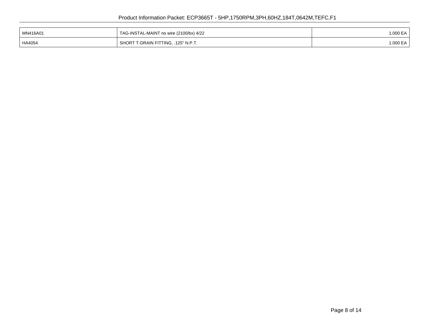| MN416A01 | TAG-INSTAL-MAINT no wire (2100/bx) 4/22      | .000 EA |
|----------|----------------------------------------------|---------|
| HA4054   | -DRAIN FITTING, .125" N.P.T.<br><b>SHORT</b> | .000 EA |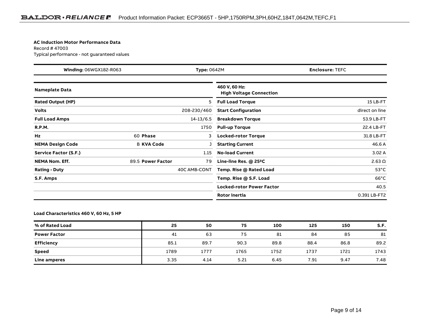#### **AC Induction Motor Performance Data**

Record # 47003Typical performance - not guaranteed values

| Winding: 06WGX182-R063<br><b>Type: 0642M</b> |                   | <b>Enclosure: TEFC</b> |                                                 |                |
|----------------------------------------------|-------------------|------------------------|-------------------------------------------------|----------------|
| <b>Nameplate Data</b>                        |                   |                        | 460 V, 60 Hz:<br><b>High Voltage Connection</b> |                |
| <b>Rated Output (HP)</b>                     |                   | 5                      | <b>Full Load Torque</b>                         | 15 LB-FT       |
| <b>Volts</b>                                 |                   | 208-230/460            | <b>Start Configuration</b>                      | direct on line |
| <b>Full Load Amps</b>                        |                   | $14 - 13/6.5$          | <b>Breakdown Torque</b>                         | 53.9 LB-FT     |
| <b>R.P.M.</b>                                |                   | 1750                   | <b>Pull-up Torque</b>                           | 22.4 LB-FT     |
| Hz                                           | 60 Phase          | 3                      | <b>Locked-rotor Torque</b>                      | 31.8 LB-FT     |
| <b>NEMA Design Code</b>                      | <b>B KVA Code</b> |                        | <b>Starting Current</b>                         | 46.6 A         |
| Service Factor (S.F.)                        |                   | 1.15                   | <b>No-load Current</b>                          | 3.02A          |
| <b>NEMA Nom. Eff.</b>                        | 89.5 Power Factor | 79                     | Line-line Res. @ 25°C                           | $2.63 \Omega$  |
| <b>Rating - Duty</b>                         |                   | 40C AMB-CONT           | Temp. Rise @ Rated Load                         | $53^{\circ}$ C |
| S.F. Amps                                    |                   |                        | Temp. Rise @ S.F. Load                          | $66^{\circ}$ C |
|                                              |                   |                        | <b>Locked-rotor Power Factor</b>                | 40.5           |
|                                              |                   |                        | <b>Rotor inertia</b>                            | 0.391 LB-FT2   |

#### **Load Characteristics 460 V, 60 Hz, 5 HP**

| % of Rated Load     | 25   | 50   | 75   | 100  | 125  | 150  | S.F. |
|---------------------|------|------|------|------|------|------|------|
| <b>Power Factor</b> | 41   | 63   | 75   | 81   | 84   | 85   | 81   |
| <b>Efficiency</b>   | 85.1 | 89.7 | 90.3 | 89.8 | 88.4 | 86.8 | 89.2 |
| Speed               | 1789 | 1777 | 1765 | 1752 | 1737 | 1721 | 1743 |
| Line amperes        | 3.35 | 4.14 | 5.21 | 6.45 | 7.91 | 9.47 | 7.48 |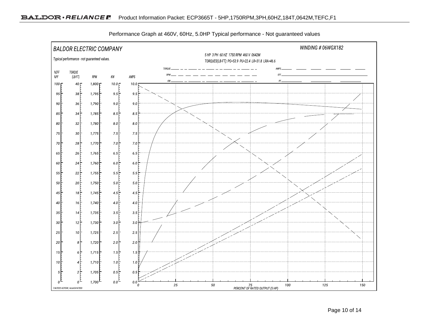

Performance Graph at 460V, 60Hz, 5.0HP Typical performance - Not guaranteed values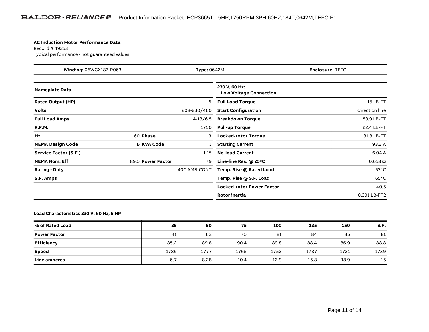#### **AC Induction Motor Performance Data**

Record # 49253Typical performance - not guaranteed values

| Winding: 06WGX182-R063<br><b>Type: 0642M</b> |                   | <b>Enclosure: TEFC</b> |                                                |                |
|----------------------------------------------|-------------------|------------------------|------------------------------------------------|----------------|
| <b>Nameplate Data</b>                        |                   |                        | 230 V, 60 Hz:<br><b>Low Voltage Connection</b> |                |
| <b>Rated Output (HP)</b>                     |                   | 5                      | <b>Full Load Torque</b>                        | 15 LB-FT       |
| <b>Volts</b>                                 |                   | 208-230/460            | <b>Start Configuration</b>                     | direct on line |
| <b>Full Load Amps</b>                        |                   | $14 - 13/6.5$          | <b>Breakdown Torque</b>                        | 53.9 LB-FT     |
| <b>R.P.M.</b>                                |                   | 1750                   | <b>Pull-up Torque</b>                          | 22.4 LB-FT     |
| Hz                                           | 60 Phase          | 3                      | <b>Locked-rotor Torque</b>                     | 31.8 LB-FT     |
| <b>NEMA Design Code</b>                      | <b>B KVA Code</b> |                        | <b>Starting Current</b>                        | 93.2 A         |
| Service Factor (S.F.)                        |                   | 1.15                   | <b>No-load Current</b>                         | 6.04A          |
| <b>NEMA Nom. Eff.</b>                        | 89.5 Power Factor | 79                     | Line-line Res. @ 25°C                          | $0.658\Omega$  |
| <b>Rating - Duty</b>                         |                   | 40C AMB-CONT           | Temp. Rise @ Rated Load                        | $53^{\circ}$ C |
| S.F. Amps                                    |                   |                        | Temp. Rise @ S.F. Load                         | $65^{\circ}$ C |
|                                              |                   |                        | <b>Locked-rotor Power Factor</b>               | 40.5           |
|                                              |                   |                        | <b>Rotor inertia</b>                           | 0.391 LB-FT2   |

#### **Load Characteristics 230 V, 60 Hz, 5 HP**

| % of Rated Load     | 25   | 50   | 75   | 100  | 125  | 150  | S.F. |
|---------------------|------|------|------|------|------|------|------|
| <b>Power Factor</b> | 41   | 63   | 75   | 81   | 84   | 85   | 81   |
| <b>Efficiency</b>   | 85.2 | 89.8 | 90.4 | 89.8 | 88.4 | 86.9 | 88.8 |
| Speed               | 1789 | 1777 | 1765 | 1752 | 1737 | 1721 | 1739 |
| Line amperes        | 6.7  | 8.28 | 10.4 | 12.9 | 15.8 | 18.9 | 15   |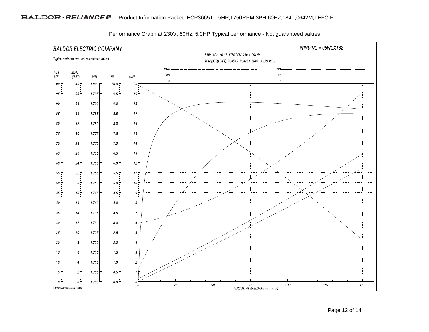

Performance Graph at 230V, 60Hz, 5.0HP Typical performance - Not guaranteed values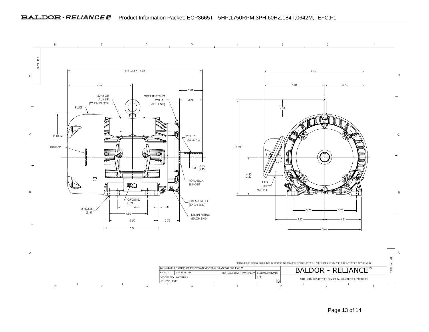

Page 13 of 14